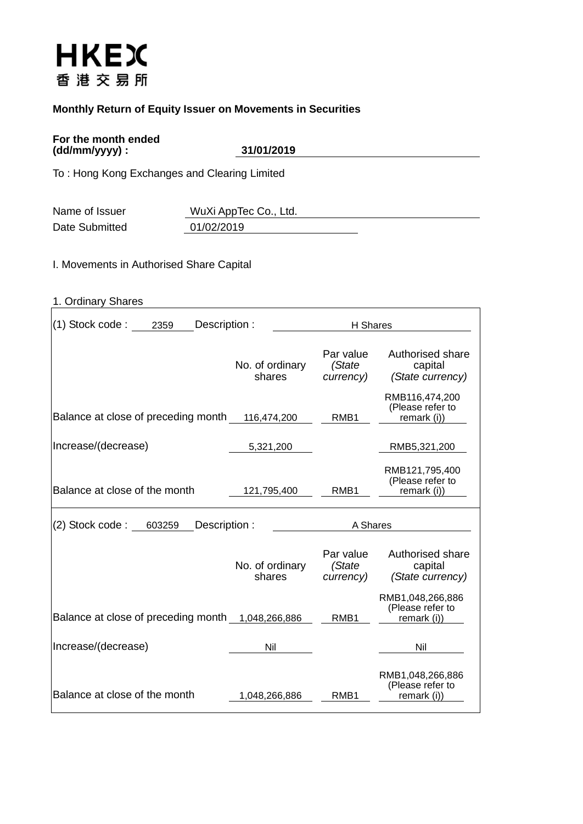# **HKEX** 香港交易所

## **Monthly Return of Equity Issuer on Movements in Securities**

### **For the month ended (dd/mm/yyyy) : 31/01/2019**

To : Hong Kong Exchanges and Clearing Limited

| Name of Issuer | WuXi AppTec Co., Ltd. |
|----------------|-----------------------|
| Date Submitted | 01/02/2019            |

I. Movements in Authorised Share Capital

| 1. Ordinary Shares |
|--------------------|
|                    |

| $(1)$ Stock code :<br>2359                        | Description:              | H Shares                         |                                                     |  |  |
|---------------------------------------------------|---------------------------|----------------------------------|-----------------------------------------------------|--|--|
|                                                   | No. of ordinary<br>shares | Par value<br>(State<br>currency) | Authorised share<br>capital<br>(State currency)     |  |  |
| Balance at close of preceding month               | 116,474,200               | RMB1                             | RMB116,474,200<br>(Please refer to<br>remark (i))   |  |  |
| Increase/(decrease)                               | 5,321,200                 |                                  | RMB5,321,200                                        |  |  |
| Balance at close of the month                     | 121,795,400               | RMB <sub>1</sub>                 | RMB121,795,400<br>(Please refer to<br>remark (i))   |  |  |
|                                                   |                           |                                  |                                                     |  |  |
| (2) Stock code:<br>603259                         | Description:              | A Shares                         |                                                     |  |  |
|                                                   | No. of ordinary<br>shares | Par value<br>(State<br>currency) | Authorised share<br>capital<br>(State currency)     |  |  |
| Balance at close of preceding month 1,048,266,886 |                           | RMB1                             | RMB1,048,266,886<br>(Please refer to<br>remark (i)) |  |  |
| Increase/(decrease)                               | Nil                       |                                  | Nil                                                 |  |  |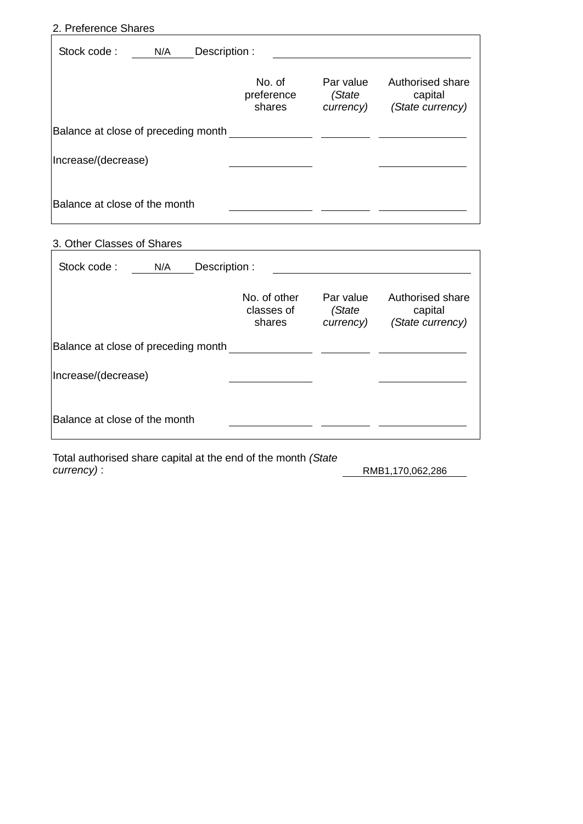## 2. Preference Shares

| Stock code:                         | N/A | Description :                  |                                  |                                                 |
|-------------------------------------|-----|--------------------------------|----------------------------------|-------------------------------------------------|
|                                     |     | No. of<br>preference<br>shares | Par value<br>(State<br>currency) | Authorised share<br>capital<br>(State currency) |
| Balance at close of preceding month |     |                                |                                  |                                                 |
| Increase/(decrease)                 |     |                                |                                  |                                                 |
| Balance at close of the month       |     |                                |                                  |                                                 |

# 3. Other Classes of Shares

| Stock code:                         | N/A | Description : |                                      |                                  |                                                 |
|-------------------------------------|-----|---------------|--------------------------------------|----------------------------------|-------------------------------------------------|
|                                     |     |               | No. of other<br>classes of<br>shares | Par value<br>(State<br>currency) | Authorised share<br>capital<br>(State currency) |
| Balance at close of preceding month |     |               |                                      |                                  |                                                 |
| Increase/(decrease)                 |     |               |                                      |                                  |                                                 |
| Balance at close of the month       |     |               |                                      |                                  |                                                 |

Total authorised share capital at the end of the month *(State* 

*currency)* : RMB1,170,062,286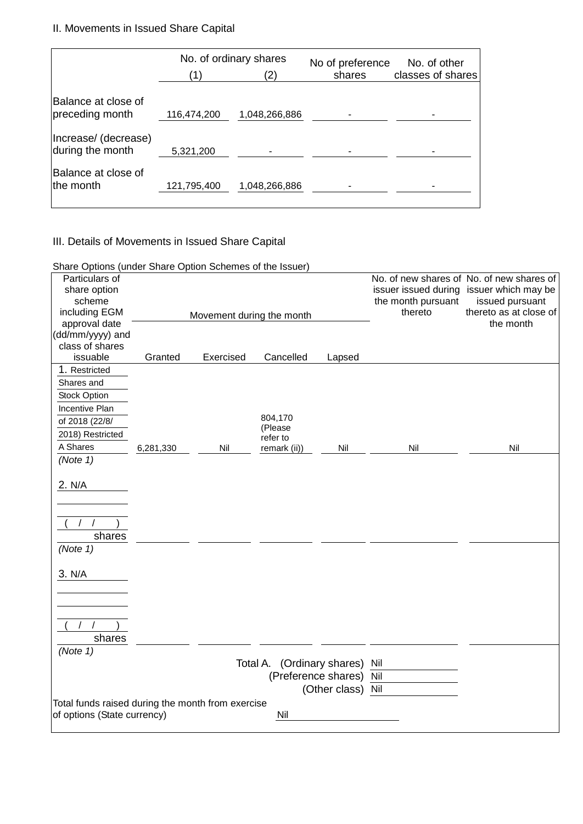## II. Movements in Issued Share Capital

|                                          | No. of ordinary shares<br>2) |               | No of preference<br>shares | No. of other<br>classes of shares |
|------------------------------------------|------------------------------|---------------|----------------------------|-----------------------------------|
| Balance at close of<br>preceding month   | 116,474,200                  | 1,048,266,886 |                            |                                   |
| Increase/ (decrease)<br>during the month | 5,321,200                    |               |                            |                                   |
| Balance at close of<br>the month         | 121,795,400                  | 1,048,266,886 |                            |                                   |

## III. Details of Movements in Issued Share Capital

| Share Options (under Share Option Schemes of the Issuer) |                                                   |                           |                                |                   |                    |                                           |  |  |
|----------------------------------------------------------|---------------------------------------------------|---------------------------|--------------------------------|-------------------|--------------------|-------------------------------------------|--|--|
| Particulars of                                           |                                                   |                           |                                |                   |                    | No. of new shares of No. of new shares of |  |  |
| share option                                             |                                                   |                           |                                |                   |                    | issuer issued during issuer which may be  |  |  |
| scheme                                                   |                                                   |                           |                                |                   | the month pursuant | issued pursuant                           |  |  |
| including EGM                                            |                                                   | Movement during the month |                                |                   | thereto            | thereto as at close of                    |  |  |
| approval date                                            |                                                   |                           |                                |                   |                    | the month                                 |  |  |
| (dd/mm/yyyy) and                                         |                                                   |                           |                                |                   |                    |                                           |  |  |
| class of shares                                          |                                                   |                           |                                |                   |                    |                                           |  |  |
| issuable                                                 | Granted                                           | Exercised                 | Cancelled                      | Lapsed            |                    |                                           |  |  |
| 1. Restricted                                            |                                                   |                           |                                |                   |                    |                                           |  |  |
| Shares and                                               |                                                   |                           |                                |                   |                    |                                           |  |  |
| <b>Stock Option</b>                                      |                                                   |                           |                                |                   |                    |                                           |  |  |
| Incentive Plan                                           |                                                   |                           |                                |                   |                    |                                           |  |  |
| of 2018 (22/8/                                           |                                                   |                           | 804,170                        |                   |                    |                                           |  |  |
| 2018) Restricted                                         |                                                   |                           | (Please<br>refer to            |                   |                    |                                           |  |  |
| A Shares                                                 | 6,281,330                                         | Nil                       | remark (ii))                   | Nil               | Nil                | Nil                                       |  |  |
| (Note 1)                                                 |                                                   |                           |                                |                   |                    |                                           |  |  |
|                                                          |                                                   |                           |                                |                   |                    |                                           |  |  |
| 2. N/A                                                   |                                                   |                           |                                |                   |                    |                                           |  |  |
|                                                          |                                                   |                           |                                |                   |                    |                                           |  |  |
|                                                          |                                                   |                           |                                |                   |                    |                                           |  |  |
|                                                          |                                                   |                           |                                |                   |                    |                                           |  |  |
| shares                                                   |                                                   |                           |                                |                   |                    |                                           |  |  |
| (Note 1)                                                 |                                                   |                           |                                |                   |                    |                                           |  |  |
|                                                          |                                                   |                           |                                |                   |                    |                                           |  |  |
| 3. N/A                                                   |                                                   |                           |                                |                   |                    |                                           |  |  |
|                                                          |                                                   |                           |                                |                   |                    |                                           |  |  |
|                                                          |                                                   |                           |                                |                   |                    |                                           |  |  |
|                                                          |                                                   |                           |                                |                   |                    |                                           |  |  |
|                                                          |                                                   |                           |                                |                   |                    |                                           |  |  |
|                                                          |                                                   |                           |                                |                   |                    |                                           |  |  |
| shares                                                   |                                                   |                           |                                |                   |                    |                                           |  |  |
| (Note 1)                                                 |                                                   |                           |                                |                   |                    |                                           |  |  |
|                                                          |                                                   |                           | Total A. (Ordinary shares) Nil |                   |                    |                                           |  |  |
|                                                          |                                                   |                           | (Preference shares)            |                   | Nil                |                                           |  |  |
|                                                          |                                                   |                           |                                | (Other class) Nil |                    |                                           |  |  |
|                                                          | Total funds raised during the month from exercise |                           |                                |                   |                    |                                           |  |  |
| of options (State currency)                              |                                                   |                           | Nil                            |                   |                    |                                           |  |  |
|                                                          |                                                   |                           |                                |                   |                    |                                           |  |  |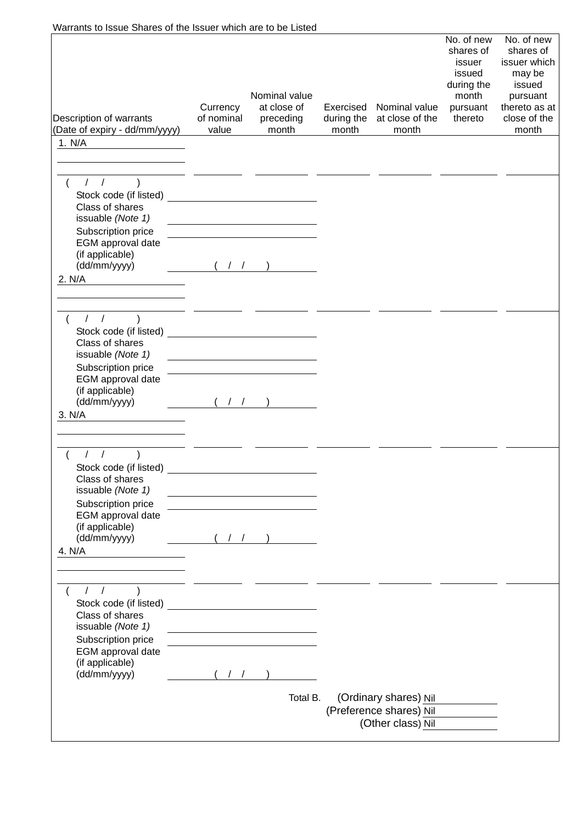| Warrants to Issue Shares of the Issuer which are to be Listed                                                                                                                                                                                        |                                 |                                                         |                                  |                                                                       |                                                                                           |                                                                                                                   |
|------------------------------------------------------------------------------------------------------------------------------------------------------------------------------------------------------------------------------------------------------|---------------------------------|---------------------------------------------------------|----------------------------------|-----------------------------------------------------------------------|-------------------------------------------------------------------------------------------|-------------------------------------------------------------------------------------------------------------------|
| Description of warrants<br>(Date of expiry - dd/mm/yyyy)                                                                                                                                                                                             | Currency<br>of nominal<br>value | Nominal value<br>at close of<br>preceding<br>month      | Exercised<br>during the<br>month | Nominal value<br>at close of the<br>month                             | No. of new<br>shares of<br>issuer<br>issued<br>during the<br>month<br>pursuant<br>thereto | No. of new<br>shares of<br>issuer which<br>may be<br>issued<br>pursuant<br>thereto as at<br>close of the<br>month |
| 1. N/A                                                                                                                                                                                                                                               |                                 |                                                         |                                  |                                                                       |                                                                                           |                                                                                                                   |
|                                                                                                                                                                                                                                                      |                                 |                                                         |                                  |                                                                       |                                                                                           |                                                                                                                   |
| 11)<br>Class of shares<br>issuable (Note 1)<br>Subscription price<br>EGM approval date<br>(if applicable)<br>(dd/mm/yyyy)<br>2. N/A                                                                                                                  | $($ / $/$                       | <u> 1989 - Johann Barn, amerikansk politiker (</u>      |                                  |                                                                       |                                                                                           |                                                                                                                   |
|                                                                                                                                                                                                                                                      |                                 |                                                         |                                  |                                                                       |                                                                                           |                                                                                                                   |
|                                                                                                                                                                                                                                                      |                                 |                                                         |                                  |                                                                       |                                                                                           |                                                                                                                   |
| 1 / 1<br>Class of shares<br>issuable (Note 1)<br>Subscription price<br>EGM approval date<br>(if applicable)<br>(dd/mm/yyyy)<br>3. N/A                                                                                                                | (1)                             |                                                         |                                  |                                                                       |                                                                                           |                                                                                                                   |
| $\sqrt{2}$<br>$\sqrt{2}$                                                                                                                                                                                                                             |                                 |                                                         |                                  |                                                                       |                                                                                           |                                                                                                                   |
| Class of shares<br>issuable (Note 1)<br>Subscription price<br>EGM approval date<br>(if applicable)<br>(dd/mm/yyyy)<br>4. N/A<br><u> 1980 - Jan Barbara Barat, prima populație de la provincia de la provincia de la provincia de la provincia de</u> |                                 | (11)                                                    |                                  |                                                                       |                                                                                           |                                                                                                                   |
|                                                                                                                                                                                                                                                      |                                 |                                                         |                                  |                                                                       |                                                                                           |                                                                                                                   |
| 1/<br>Class of shares<br>issuable (Note 1)<br>Subscription price<br>EGM approval date<br>(if applicable)<br>(dd/mm/yyyy)                                                                                                                             | (1)                             | <u> 1989 - Johann Barbara, martin amerikan basar da</u> |                                  |                                                                       |                                                                                           |                                                                                                                   |
|                                                                                                                                                                                                                                                      |                                 | Total B.                                                |                                  | (Ordinary shares) Nil<br>(Preference shares) Nil<br>(Other class) Nil |                                                                                           |                                                                                                                   |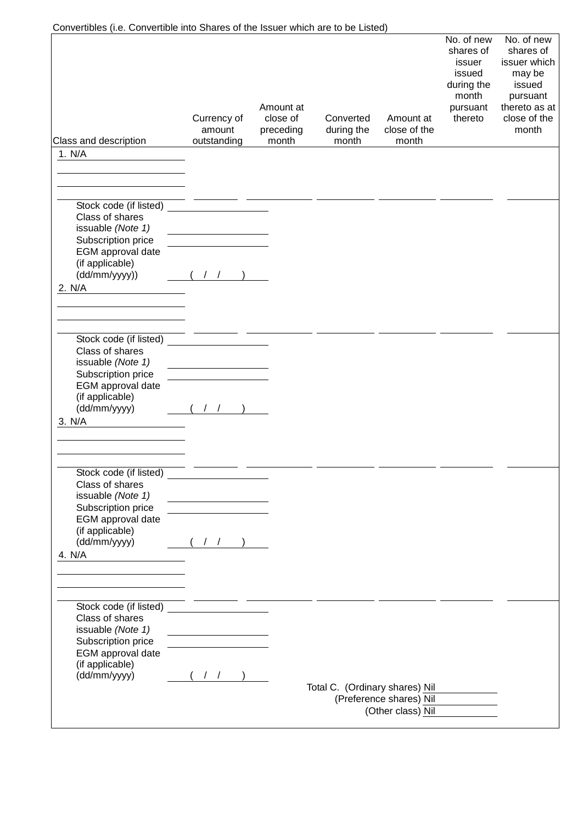| Convertibles (i.e. Convertible into Shares of the Issuer which are to be Listed) |                                                                                                                      |                                             |                                  |                                    |                                                                                           |                                                                                                                   |
|----------------------------------------------------------------------------------|----------------------------------------------------------------------------------------------------------------------|---------------------------------------------|----------------------------------|------------------------------------|-------------------------------------------------------------------------------------------|-------------------------------------------------------------------------------------------------------------------|
| Class and description                                                            | Currency of<br>amount<br>outstanding                                                                                 | Amount at<br>close of<br>preceding<br>month | Converted<br>during the<br>month | Amount at<br>close of the<br>month | No. of new<br>shares of<br>issuer<br>issued<br>during the<br>month<br>pursuant<br>thereto | No. of new<br>shares of<br>issuer which<br>may be<br>issued<br>pursuant<br>thereto as at<br>close of the<br>month |
| 1. N/A                                                                           |                                                                                                                      |                                             |                                  |                                    |                                                                                           |                                                                                                                   |
|                                                                                  |                                                                                                                      |                                             |                                  |                                    |                                                                                           |                                                                                                                   |
|                                                                                  |                                                                                                                      |                                             |                                  |                                    |                                                                                           |                                                                                                                   |
|                                                                                  |                                                                                                                      |                                             |                                  |                                    |                                                                                           |                                                                                                                   |
| Stock code (if listed)                                                           |                                                                                                                      |                                             |                                  |                                    |                                                                                           |                                                                                                                   |
| Class of shares<br>issuable (Note 1)                                             |                                                                                                                      |                                             |                                  |                                    |                                                                                           |                                                                                                                   |
| Subscription price                                                               |                                                                                                                      |                                             |                                  |                                    |                                                                                           |                                                                                                                   |
| EGM approval date                                                                |                                                                                                                      |                                             |                                  |                                    |                                                                                           |                                                                                                                   |
| (if applicable)<br>(dd/mm/yyyy))                                                 |                                                                                                                      |                                             |                                  |                                    |                                                                                           |                                                                                                                   |
| 2. N/A                                                                           |                                                                                                                      |                                             |                                  |                                    |                                                                                           |                                                                                                                   |
|                                                                                  |                                                                                                                      |                                             |                                  |                                    |                                                                                           |                                                                                                                   |
|                                                                                  |                                                                                                                      |                                             |                                  |                                    |                                                                                           |                                                                                                                   |
|                                                                                  |                                                                                                                      |                                             |                                  |                                    |                                                                                           |                                                                                                                   |
| Stock code (if listed)                                                           |                                                                                                                      |                                             |                                  |                                    |                                                                                           |                                                                                                                   |
| Class of shares                                                                  |                                                                                                                      |                                             |                                  |                                    |                                                                                           |                                                                                                                   |
| issuable (Note 1)                                                                |                                                                                                                      |                                             |                                  |                                    |                                                                                           |                                                                                                                   |
| Subscription price                                                               |                                                                                                                      |                                             |                                  |                                    |                                                                                           |                                                                                                                   |
| EGM approval date                                                                |                                                                                                                      |                                             |                                  |                                    |                                                                                           |                                                                                                                   |
| (if applicable)                                                                  |                                                                                                                      |                                             |                                  |                                    |                                                                                           |                                                                                                                   |
| (dd/mm/yyyy)                                                                     |                                                                                                                      |                                             |                                  |                                    |                                                                                           |                                                                                                                   |
| 3. N/A                                                                           |                                                                                                                      |                                             |                                  |                                    |                                                                                           |                                                                                                                   |
|                                                                                  |                                                                                                                      |                                             |                                  |                                    |                                                                                           |                                                                                                                   |
|                                                                                  |                                                                                                                      |                                             |                                  |                                    |                                                                                           |                                                                                                                   |
|                                                                                  |                                                                                                                      |                                             |                                  |                                    |                                                                                           |                                                                                                                   |
| Stock code (if listed)<br>Class of shares                                        |                                                                                                                      |                                             |                                  |                                    |                                                                                           |                                                                                                                   |
| issuable (Note 1)                                                                |                                                                                                                      |                                             |                                  |                                    |                                                                                           |                                                                                                                   |
| Subscription price                                                               | <u> 1980 - Johann Barn, mars ann an t-Amhain Aonaich an t-Aonaich an t-Aonaich ann an t-Aonaich ann an t-Aonaich</u> |                                             |                                  |                                    |                                                                                           |                                                                                                                   |
| EGM approval date                                                                |                                                                                                                      |                                             |                                  |                                    |                                                                                           |                                                                                                                   |
| (if applicable)                                                                  |                                                                                                                      |                                             |                                  |                                    |                                                                                           |                                                                                                                   |
| (dd/mm/yyyy)                                                                     | (11)                                                                                                                 |                                             |                                  |                                    |                                                                                           |                                                                                                                   |
| 4. N/A                                                                           |                                                                                                                      |                                             |                                  |                                    |                                                                                           |                                                                                                                   |
|                                                                                  |                                                                                                                      |                                             |                                  |                                    |                                                                                           |                                                                                                                   |
|                                                                                  |                                                                                                                      |                                             |                                  |                                    |                                                                                           |                                                                                                                   |
|                                                                                  |                                                                                                                      |                                             |                                  |                                    |                                                                                           |                                                                                                                   |
|                                                                                  |                                                                                                                      |                                             |                                  |                                    |                                                                                           |                                                                                                                   |
| Class of shares                                                                  |                                                                                                                      |                                             |                                  |                                    |                                                                                           |                                                                                                                   |
| issuable (Note 1)                                                                |                                                                                                                      |                                             |                                  |                                    |                                                                                           |                                                                                                                   |
| Subscription price                                                               |                                                                                                                      |                                             |                                  |                                    |                                                                                           |                                                                                                                   |
| EGM approval date<br>(if applicable)                                             |                                                                                                                      |                                             |                                  |                                    |                                                                                           |                                                                                                                   |
| (dd/mm/yyyy)                                                                     | $($ / $/$                                                                                                            |                                             |                                  |                                    |                                                                                           |                                                                                                                   |
|                                                                                  |                                                                                                                      |                                             | Total C. (Ordinary shares) Nil   |                                    |                                                                                           |                                                                                                                   |
|                                                                                  |                                                                                                                      |                                             |                                  | (Preference shares) Nil            |                                                                                           |                                                                                                                   |
|                                                                                  |                                                                                                                      |                                             |                                  | (Other class) Nil                  |                                                                                           |                                                                                                                   |
|                                                                                  |                                                                                                                      |                                             |                                  |                                    |                                                                                           |                                                                                                                   |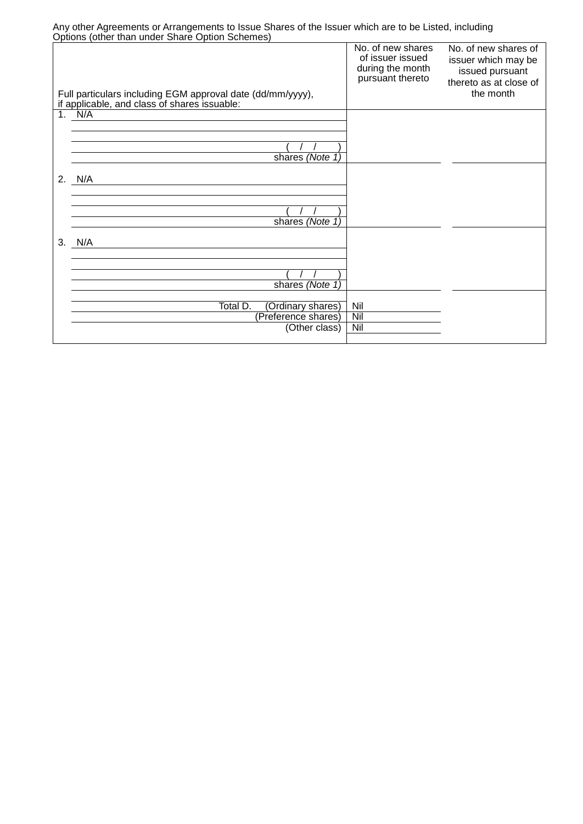| Any other Agreements or Arrangements to Issue Shares of the Issuer which are to be Listed, including<br>Options (other than under Share Option Schemes) |                                                                               |                                                                                          |
|---------------------------------------------------------------------------------------------------------------------------------------------------------|-------------------------------------------------------------------------------|------------------------------------------------------------------------------------------|
|                                                                                                                                                         | No. of new shares<br>of issuer issued<br>during the month<br>pursuant thereto | No. of new shares of<br>issuer which may be<br>issued pursuant<br>thereto as at close of |
| Full particulars including EGM approval date (dd/mm/yyyy),<br>if applicable, and class of shares issuable:                                              |                                                                               | the month                                                                                |
| 1. N/A                                                                                                                                                  |                                                                               |                                                                                          |
|                                                                                                                                                         |                                                                               |                                                                                          |
| shares (Note 1)                                                                                                                                         |                                                                               |                                                                                          |
|                                                                                                                                                         |                                                                               |                                                                                          |
| 2. N/A                                                                                                                                                  |                                                                               |                                                                                          |
|                                                                                                                                                         |                                                                               |                                                                                          |
| shares (Note 1)                                                                                                                                         |                                                                               |                                                                                          |
| 3.<br>N/A                                                                                                                                               |                                                                               |                                                                                          |
|                                                                                                                                                         |                                                                               |                                                                                          |
|                                                                                                                                                         |                                                                               |                                                                                          |
| shares (Note 1)                                                                                                                                         |                                                                               |                                                                                          |
| Total D.<br>(Ordinary shares)                                                                                                                           | Nil                                                                           |                                                                                          |
| (Preference shares)                                                                                                                                     | Nil                                                                           |                                                                                          |
| (Other class)                                                                                                                                           | Nil                                                                           |                                                                                          |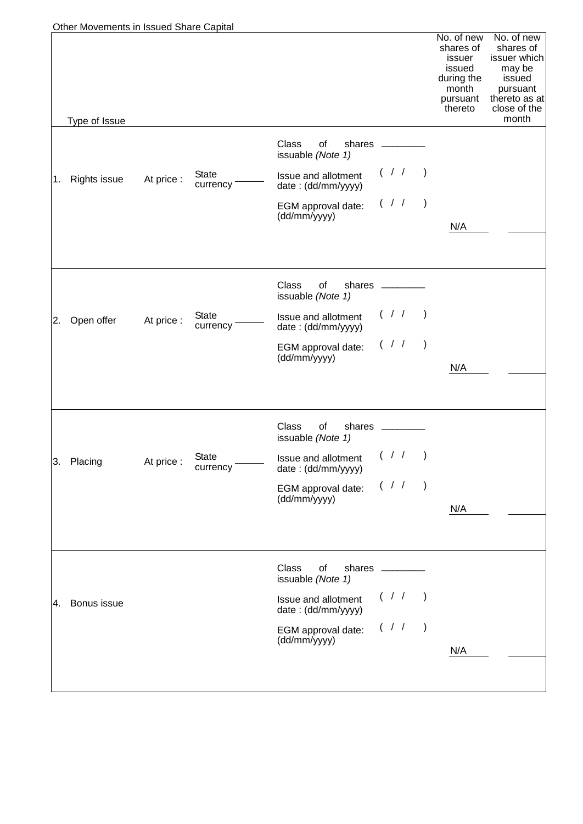|    | Type of Issue |            |                          |                                                                |             |                          | No. of new<br>shares of<br>issuer<br>issued<br>during the<br>month<br>pursuant<br>thereto | No. of new<br>shares of<br>issuer which<br>may be<br>issued<br>pursuant<br>thereto as at<br>close of the<br>month |
|----|---------------|------------|--------------------------|----------------------------------------------------------------|-------------|--------------------------|-------------------------------------------------------------------------------------------|-------------------------------------------------------------------------------------------------------------------|
|    |               |            |                          | Class<br>of<br>shares                                          |             |                          |                                                                                           |                                                                                                                   |
| 1. | Rights issue  | At price : | <b>State</b><br>currency | issuable (Note 1)<br>Issue and allotment<br>date: (dd/mm/yyyy) | $($ / /     | $\rightarrow$            |                                                                                           |                                                                                                                   |
|    |               |            |                          | EGM approval date:<br>(dd/mm/yyyy)                             | $($ / $/$   | $\big)$                  |                                                                                           |                                                                                                                   |
|    |               |            |                          |                                                                |             |                          | N/A                                                                                       |                                                                                                                   |
|    |               |            |                          | Class<br>of<br>shares<br>issuable (Note 1)                     |             |                          |                                                                                           |                                                                                                                   |
| 2. | Open offer    | At price : | <b>State</b><br>currency | Issue and allotment<br>date: (dd/mm/yyyy)                      | $($ / /     | $\rightarrow$            |                                                                                           |                                                                                                                   |
|    |               |            |                          | EGM approval date:<br>(dd/mm/yyyy)                             | $($ / $/$   | $\big)$                  | N/A                                                                                       |                                                                                                                   |
|    |               |            |                          |                                                                |             |                          |                                                                                           |                                                                                                                   |
|    |               |            |                          | Class<br>of<br>shares<br>issuable (Note 1)                     |             |                          |                                                                                           |                                                                                                                   |
| 3. | Placing       | At price : | <b>State</b><br>currency | Issue and allotment<br>date: (dd/mm/yyyy)                      | $($ / $/$   | $\big)$                  |                                                                                           |                                                                                                                   |
|    |               |            |                          | EGM approval date: $( / / )$<br>(dd/mm/yyyy)                   |             |                          | N/A                                                                                       |                                                                                                                   |
|    |               |            |                          |                                                                |             |                          |                                                                                           |                                                                                                                   |
|    |               |            |                          | <b>Class</b><br>of<br>shares _<br>issuable (Note 1)            |             |                          |                                                                                           |                                                                                                                   |
| 4. | Bonus issue   |            |                          | Issue and allotment<br>date: (dd/mm/yyyy)                      | $($ / $/$ ) |                          |                                                                                           |                                                                                                                   |
|    |               |            |                          | EGM approval date:<br>(dd/mm/yyyy)                             | $($ / /     | $\overline{\phantom{a}}$ |                                                                                           |                                                                                                                   |
|    |               |            |                          |                                                                |             |                          | N/A                                                                                       |                                                                                                                   |
|    |               |            |                          |                                                                |             |                          |                                                                                           |                                                                                                                   |

Other Movements in Issued Share Capital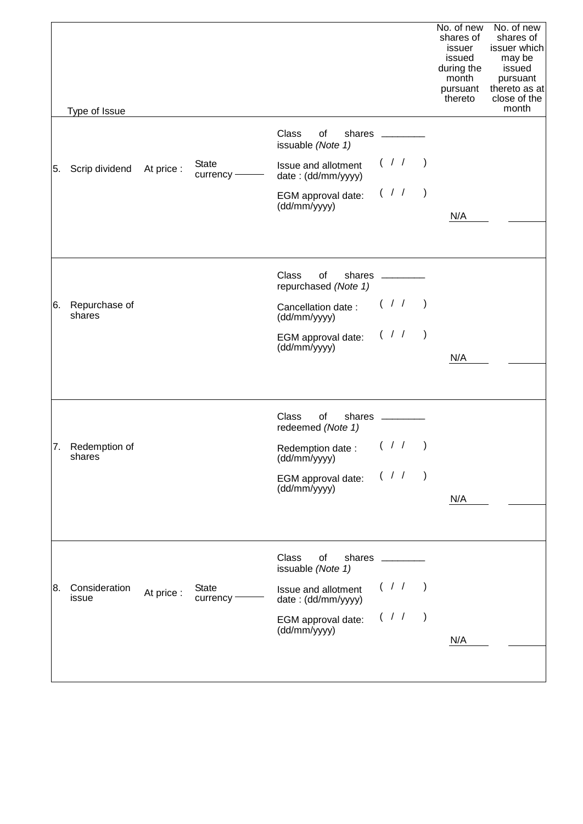|    | Type of Issue           |            |                           |                                               |             |                                               | No. of new<br>shares of<br>issuer<br>issued<br>during the<br>month<br>pursuant<br>thereto | No. of new<br>shares of<br>issuer which<br>may be<br>issued<br>pursuant<br>thereto as at<br>close of the<br>month |
|----|-------------------------|------------|---------------------------|-----------------------------------------------|-------------|-----------------------------------------------|-------------------------------------------------------------------------------------------|-------------------------------------------------------------------------------------------------------------------|
|    |                         |            |                           | Class<br>of<br>shares                         |             |                                               |                                                                                           |                                                                                                                   |
|    |                         |            |                           | issuable (Note 1)                             |             |                                               |                                                                                           |                                                                                                                   |
| 5. | Scrip dividend          | At price : | <b>State</b><br>currency- | Issue and allotment<br>date: (dd/mm/yyyy)     | $($ / $/$ ) |                                               |                                                                                           |                                                                                                                   |
|    |                         |            |                           | EGM approval date:<br>(dd/mm/yyyy)            | ( / / )     |                                               |                                                                                           |                                                                                                                   |
|    |                         |            |                           |                                               |             |                                               | N/A                                                                                       |                                                                                                                   |
|    |                         |            |                           | Class<br>of<br>shares<br>repurchased (Note 1) |             |                                               |                                                                                           |                                                                                                                   |
| 6. | Repurchase of<br>shares |            |                           | Cancellation date:<br>(dd/mm/yyyy)            | $($ / $/$ ) |                                               |                                                                                           |                                                                                                                   |
|    |                         |            |                           | EGM approval date:<br>(dd/mm/yyyy)            | $($ / $/$   | $\left( \begin{array}{c} \end{array} \right)$ |                                                                                           |                                                                                                                   |
|    |                         |            |                           |                                               |             |                                               | N/A                                                                                       |                                                                                                                   |
|    |                         |            |                           | Class<br>of<br>shares<br>redeemed (Note 1)    |             |                                               |                                                                                           |                                                                                                                   |
| 7. | Redemption of<br>shares |            |                           | Redemption date:<br>(dd/mm/yyyy)              | ( / / )     |                                               |                                                                                           |                                                                                                                   |
|    |                         |            |                           | EGM approval date:<br>(dd/mm/yyyy)            | $($ / /     | $\left( \begin{array}{c} \end{array} \right)$ |                                                                                           |                                                                                                                   |
|    |                         |            |                           |                                               |             |                                               | N/A                                                                                       |                                                                                                                   |
|    |                         |            |                           | Class<br>of<br>shares<br>issuable (Note 1)    |             |                                               |                                                                                           |                                                                                                                   |
| 8. | Consideration<br>issue  | At price:  | <b>State</b><br>currency  | Issue and allotment<br>date: (dd/mm/yyyy)     | (11)        |                                               |                                                                                           |                                                                                                                   |
|    |                         |            |                           | EGM approval date:<br>(dd/mm/yyyy)            | $($ / /     | $\big)$                                       |                                                                                           |                                                                                                                   |
|    |                         |            |                           |                                               |             |                                               | N/A                                                                                       |                                                                                                                   |
|    |                         |            |                           |                                               |             |                                               |                                                                                           |                                                                                                                   |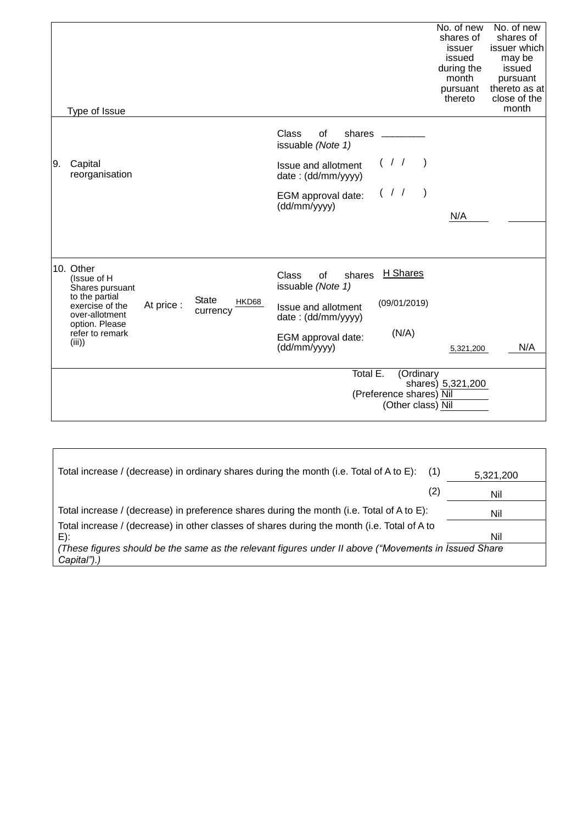| Type of Issue                                                                                                                                                                                       | No. of new<br>No. of new<br>shares of<br>shares of<br>issuer which<br>issuer<br>issued<br>may be<br>during the<br>issued<br>month<br>pursuant<br>thereto as at<br>pursuant<br>thereto<br>close of the<br>month |
|-----------------------------------------------------------------------------------------------------------------------------------------------------------------------------------------------------|----------------------------------------------------------------------------------------------------------------------------------------------------------------------------------------------------------------|
| 9.<br>Capital<br>reorganisation                                                                                                                                                                     | Class<br>of<br>shares<br>issuable (Note 1)<br>(11)<br>Issue and allotment<br>date: (dd/mm/yyyy)<br>$($ / $/$<br>$\overline{\phantom{a}}$<br>EGM approval date:<br>(dd/mm/yyyy)<br>N/A                          |
| 10. Other<br>(Issue of H<br>Shares pursuant<br>to the partial<br><b>State</b><br>HKD68<br>At price:<br>exercise of the<br>currency<br>over-allotment<br>option. Please<br>refer to remark<br>(iii)) | H Shares<br>of<br>Class<br>shares<br>issuable (Note 1)<br>(09/01/2019)<br>Issue and allotment<br>date: (dd/mm/yyyy)<br>(N/A)<br>EGM approval date:<br>(dd/mm/yyyy)<br>N/A<br>5,321,200                         |
|                                                                                                                                                                                                     | Total E.<br>(Ordinary<br>shares) 5,321,200<br>(Preference shares) Nil<br>(Other class) Nil                                                                                                                     |

| Total increase / (decrease) in ordinary shares during the month (i.e. Total of A to E):<br>(1)                      | 5,321,200 |  |
|---------------------------------------------------------------------------------------------------------------------|-----------|--|
| (2)                                                                                                                 | Nil       |  |
| Total increase / (decrease) in preference shares during the month (i.e. Total of A to E):                           | Nil       |  |
| Total increase / (decrease) in other classes of shares during the month (i.e. Total of A to<br>E):                  | Nil       |  |
| (These figures should be the same as the relevant figures under II above ("Movements in Issued Share<br>Capital").) |           |  |
|                                                                                                                     |           |  |